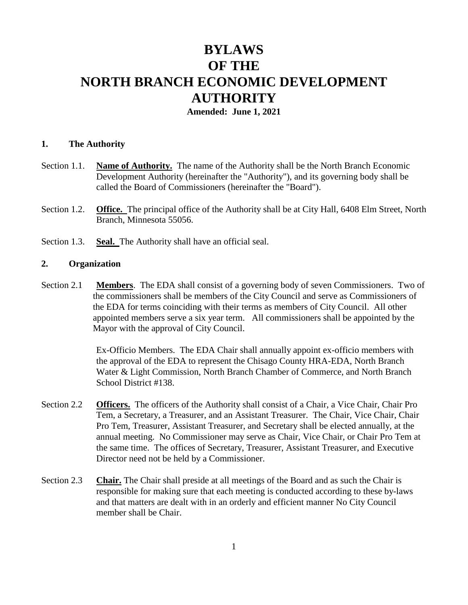# **BYLAWS OF THE NORTH BRANCH ECONOMIC DEVELOPMENT AUTHORITY**

**Amended: June 1, 2021**

#### **1. The Authority**

- Section 1.1. **Name of Authority.** The name of the Authority shall be the North Branch Economic Development Authority (hereinafter the "Authority"), and its governing body shall be called the Board of Commissioners (hereinafter the "Board").
- Section 1.2. **Office.** The principal office of the Authority shall be at City Hall, 6408 Elm Street, North Branch, Minnesota 55056.
- Section 1.3. **Seal.** The Authority shall have an official seal.

#### **2. Organization**

Section 2.1 **Members**. The EDA shall consist of a governing body of seven Commissioners. Two of the commissioners shall be members of the City Council and serve as Commissioners of the EDA for terms coinciding with their terms as members of City Council. All other appointed members serve a six year term. All commissioners shall be appointed by the Mayor with the approval of City Council.

> Ex-Officio Members. The EDA Chair shall annually appoint ex-officio members with the approval of the EDA to represent the Chisago County HRA-EDA, North Branch Water & Light Commission, North Branch Chamber of Commerce, and North Branch School District #138.

- Section 2.2 **Officers.** The officers of the Authority shall consist of a Chair, a Vice Chair, Chair Pro Tem, a Secretary, a Treasurer, and an Assistant Treasurer. The Chair, Vice Chair, Chair Pro Tem, Treasurer, Assistant Treasurer, and Secretary shall be elected annually, at the annual meeting. No Commissioner may serve as Chair, Vice Chair, or Chair Pro Tem at the same time. The offices of Secretary, Treasurer, Assistant Treasurer, and Executive Director need not be held by a Commissioner.
- Section 2.3 **Chair.** The Chair shall preside at all meetings of the Board and as such the Chair is responsible for making sure that each meeting is conducted according to these by-laws and that matters are dealt with in an orderly and efficient manner No City Council member shall be Chair.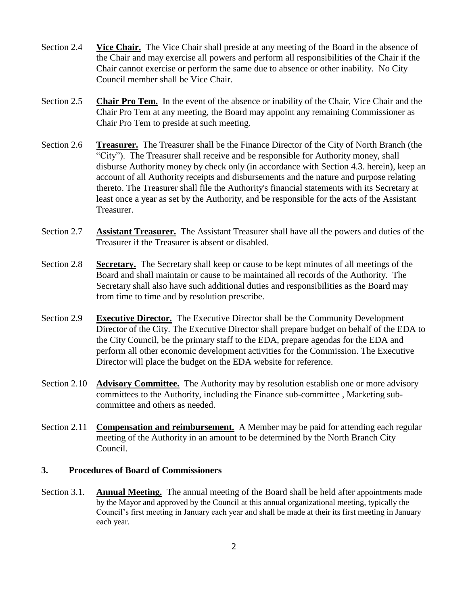- Section 2.4 **Vice Chair.** The Vice Chair shall preside at any meeting of the Board in the absence of the Chair and may exercise all powers and perform all responsibilities of the Chair if the Chair cannot exercise or perform the same due to absence or other inability. No City Council member shall be Vice Chair.
- Section 2.5 **Chair Pro Tem.** In the event of the absence or inability of the Chair, Vice Chair and the Chair Pro Tem at any meeting, the Board may appoint any remaining Commissioner as Chair Pro Tem to preside at such meeting.
- Section 2.6 **Treasurer.** The Treasurer shall be the Finance Director of the City of North Branch (the "City"). The Treasurer shall receive and be responsible for Authority money, shall disburse Authority money by check only (in accordance with Section 4.3. herein), keep an account of all Authority receipts and disbursements and the nature and purpose relating thereto. The Treasurer shall file the Authority's financial statements with its Secretary at least once a year as set by the Authority, and be responsible for the acts of the Assistant Treasurer.
- Section 2.7 **Assistant Treasurer.** The Assistant Treasurer shall have all the powers and duties of the Treasurer if the Treasurer is absent or disabled.
- Section 2.8 **Secretary.** The Secretary shall keep or cause to be kept minutes of all meetings of the Board and shall maintain or cause to be maintained all records of the Authority. The Secretary shall also have such additional duties and responsibilities as the Board may from time to time and by resolution prescribe.
- Section 2.9 **Executive Director.** The Executive Director shall be the Community Development Director of the City. The Executive Director shall prepare budget on behalf of the EDA to the City Council, be the primary staff to the EDA, prepare agendas for the EDA and perform all other economic development activities for the Commission. The Executive Director will place the budget on the EDA website for reference.
- Section 2.10 **Advisory Committee.** The Authority may by resolution establish one or more advisory committees to the Authority, including the Finance sub-committee , Marketing subcommittee and others as needed.
- Section 2.11 **Compensation and reimbursement.** A Member may be paid for attending each regular meeting of the Authority in an amount to be determined by the North Branch City Council.

### **3. Procedures of Board of Commissioners**

Section 3.1. **Annual Meeting.** The annual meeting of the Board shall be held after appointments made by the Mayor and approved by the Council at this annual organizational meeting, typically the Council's first meeting in January each year and shall be made at their its first meeting in January each year.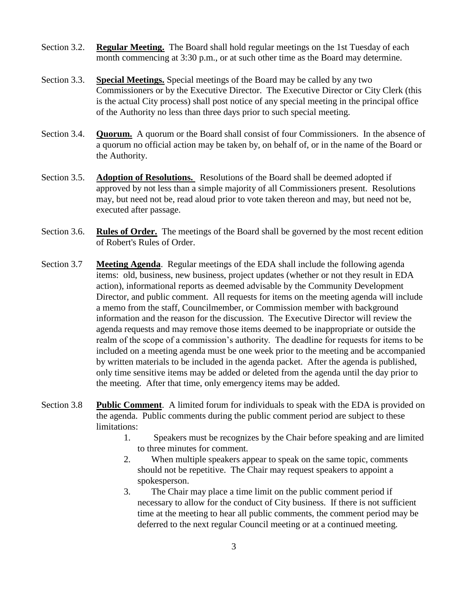- Section 3.2. **Regular Meeting.** The Board shall hold regular meetings on the 1st Tuesday of each month commencing at 3:30 p.m., or at such other time as the Board may determine.
- Section 3.3. **Special Meetings.** Special meetings of the Board may be called by any two Commissioners or by the Executive Director. The Executive Director or City Clerk (this is the actual City process) shall post notice of any special meeting in the principal office of the Authority no less than three days prior to such special meeting.
- Section 3.4. **Quorum.** A quorum or the Board shall consist of four Commissioners. In the absence of a quorum no official action may be taken by, on behalf of, or in the name of the Board or the Authority.
- Section 3.5. **Adoption of Resolutions.** Resolutions of the Board shall be deemed adopted if approved by not less than a simple majority of all Commissioners present. Resolutions may, but need not be, read aloud prior to vote taken thereon and may, but need not be, executed after passage.
- Section 3.6. **Rules of Order.** The meetings of the Board shall be governed by the most recent edition of Robert's Rules of Order.
- Section 3.7 **Meeting Agenda**. Regular meetings of the EDA shall include the following agenda items: old, business, new business, project updates (whether or not they result in EDA action), informational reports as deemed advisable by the Community Development Director, and public comment. All requests for items on the meeting agenda will include a memo from the staff, Councilmember, or Commission member with background information and the reason for the discussion. The Executive Director will review the agenda requests and may remove those items deemed to be inappropriate or outside the realm of the scope of a commission's authority. The deadline for requests for items to be included on a meeting agenda must be one week prior to the meeting and be accompanied by written materials to be included in the agenda packet. After the agenda is published, only time sensitive items may be added or deleted from the agenda until the day prior to the meeting. After that time, only emergency items may be added.
- Section 3.8 **Public Comment**. A limited forum for individuals to speak with the EDA is provided on the agenda. Public comments during the public comment period are subject to these limitations:
	- 1. Speakers must be recognizes by the Chair before speaking and are limited to three minutes for comment.
	- 2. When multiple speakers appear to speak on the same topic, comments should not be repetitive. The Chair may request speakers to appoint a spokesperson.
	- 3. The Chair may place a time limit on the public comment period if necessary to allow for the conduct of City business. If there is not sufficient time at the meeting to hear all public comments, the comment period may be deferred to the next regular Council meeting or at a continued meeting.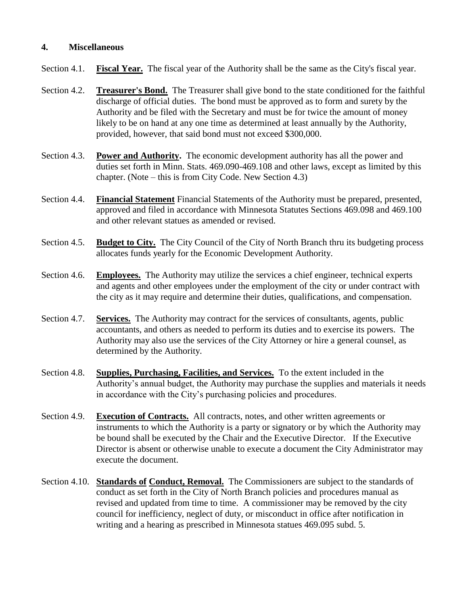## **4. Miscellaneous**

- Section 4.1. **Fiscal Year.** The fiscal year of the Authority shall be the same as the City's fiscal year.
- Section 4.2. **Treasurer's Bond.** The Treasurer shall give bond to the state conditioned for the faithful discharge of official duties. The bond must be approved as to form and surety by the Authority and be filed with the Secretary and must be for twice the amount of money likely to be on hand at any one time as determined at least annually by the Authority, provided, however, that said bond must not exceed \$300,000.
- Section 4.3. **Power and Authority.** The economic development authority has all the power and duties set forth in Minn. Stats. 469.090-469.108 and other laws, except as limited by this chapter. (Note – this is from City Code. New Section 4.3)
- Section 4.4. **Financial Statement** Financial Statements of the Authority must be prepared, presented, approved and filed in accordance with Minnesota Statutes Sections 469.098 and 469.100 and other relevant statues as amended or revised.
- Section 4.5. **Budget to City.** The City Council of the City of North Branch thru its budgeting process allocates funds yearly for the Economic Development Authority.
- Section 4.6. **Employees.** The Authority may utilize the services a chief engineer, technical experts and agents and other employees under the employment of the city or under contract with the city as it may require and determine their duties, qualifications, and compensation.
- Section 4.7. **Services.** The Authority may contract for the services of consultants, agents, public accountants, and others as needed to perform its duties and to exercise its powers. The Authority may also use the services of the City Attorney or hire a general counsel, as determined by the Authority.
- Section 4.8. **Supplies, Purchasing, Facilities, and Services.** To the extent included in the Authority's annual budget, the Authority may purchase the supplies and materials it needs in accordance with the City's purchasing policies and procedures.
- Section 4.9. **Execution of Contracts.** All contracts, notes, and other written agreements or instruments to which the Authority is a party or signatory or by which the Authority may be bound shall be executed by the Chair and the Executive Director. If the Executive Director is absent or otherwise unable to execute a document the City Administrator may execute the document.
- Section 4.10. **Standards of Conduct, Removal.** The Commissioners are subject to the standards of conduct as set forth in the City of North Branch policies and procedures manual as revised and updated from time to time. A commissioner may be removed by the city council for inefficiency, neglect of duty, or misconduct in office after notification in writing and a hearing as prescribed in Minnesota statues 469.095 subd. 5.